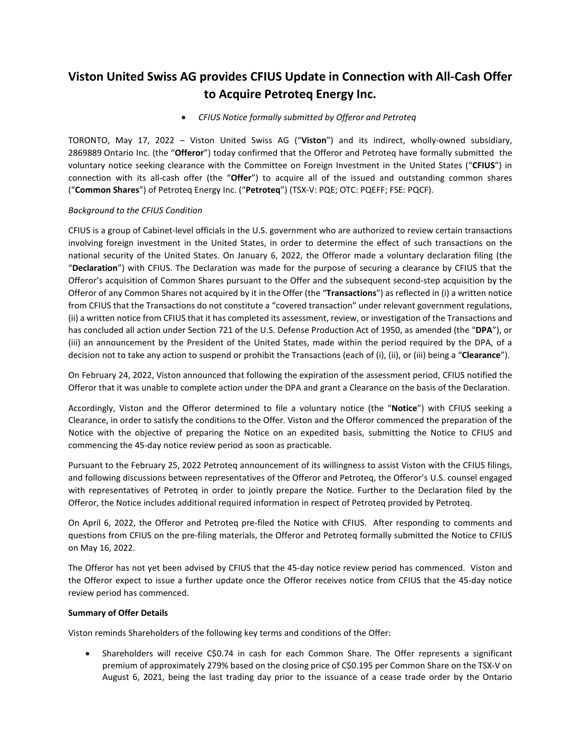# **Viston United Swiss AG provides CFIUS Update in Connection with All-Cash Offer to Acquire Petroteq Energy Inc.**

• *CFIUS Notice formally submitted by Offeror and Petroteq*

TORONTO, May 17, 2022 – Viston United Swiss AG ("**Viston**") and its indirect, wholly-owned subsidiary, 2869889 Ontario Inc. (the "**Offeror**") today confirmed that the Offeror and Petroteq have formally submitted the voluntary notice seeking clearance with the Committee on Foreign Investment in the United States ("**CFIUS**") in connection with its all-cash offer (the "**Offer**") to acquire all of the issued and outstanding common shares ("**Common Shares**") of Petroteq Energy Inc. ("**Petroteq**") (TSX-V: PQE; OTC: PQEFF; FSE: PQCF).

## *Background to the CFIUS Condition*

CFIUS is a group of Cabinet-level officials in the U.S. government who are authorized to review certain transactions involving foreign investment in the United States, in order to determine the effect of such transactions on the national security of the United States. On January 6, 2022, the Offeror made a voluntary declaration filing (the "**Declaration**") with CFIUS. The Declaration was made for the purpose of securing a clearance by CFIUS that the Offeror's acquisition of Common Shares pursuant to the Offer and the subsequent second-step acquisition by the Offeror of any Common Shares not acquired by it in the Offer (the "**Transactions**") as reflected in (i) a written notice from CFIUS that the Transactions do not constitute a "covered transaction" under relevant government regulations, (ii) a written notice from CFIUS that it has completed its assessment, review, or investigation of the Transactions and has concluded all action under Section 721 of the U.S. Defense Production Act of 1950, as amended (the "**DPA**"), or (iii) an announcement by the President of the United States, made within the period required by the DPA, of a decision not to take any action to suspend or prohibit the Transactions (each of (i), (ii), or (iii) being a "**Clearance**").

On February 24, 2022, Viston announced that following the expiration of the assessment period, CFIUS notified the Offeror that it was unable to complete action under the DPA and grant a Clearance on the basis of the Declaration.

Accordingly, Viston and the Offeror determined to file a voluntary notice (the "**Notice**") with CFIUS seeking a Clearance, in order to satisfy the conditions to the Offer. Viston and the Offeror commenced the preparation of the Notice with the objective of preparing the Notice on an expedited basis, submitting the Notice to CFIUS and commencing the 45-day notice review period as soon as practicable.

Pursuant to the February 25, 2022 Petroteq announcement of its willingness to assist Viston with the CFIUS filings, and following discussions between representatives of the Offeror and Petroteq, the Offeror's U.S. counsel engaged with representatives of Petroteq in order to jointly prepare the Notice. Further to the Declaration filed by the Offeror, the Notice includes additional required information in respect of Petroteq provided by Petroteq.

On April 6, 2022, the Offeror and Petroteq pre-filed the Notice with CFIUS. After responding to comments and questions from CFIUS on the pre-filing materials, the Offeror and Petroteq formally submitted the Notice to CFIUS on May 16, 2022.

The Offeror has not yet been advised by CFIUS that the 45-day notice review period has commenced. Viston and the Offeror expect to issue a further update once the Offeror receives notice from CFIUS that the 45-day notice review period has commenced.

## **Summary of Offer Details**

Viston reminds Shareholders of the following key terms and conditions of the Offer:

Shareholders will receive C\$0.74 in cash for each Common Share. The Offer represents a significant premium of approximately 279% based on the closing price of C\$0.195 per Common Share on the TSX-V on August 6, 2021, being the last trading day prior to the issuance of a cease trade order by the Ontario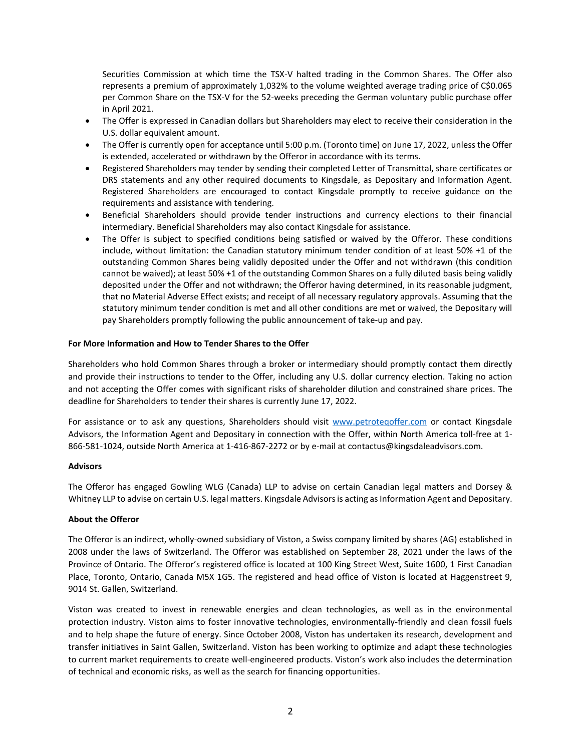Securities Commission at which time the TSX-V halted trading in the Common Shares. The Offer also represents a premium of approximately 1,032% to the volume weighted average trading price of C\$0.065 per Common Share on the TSX-V for the 52-weeks preceding the German voluntary public purchase offer in April 2021.

- The Offer is expressed in Canadian dollars but Shareholders may elect to receive their consideration in the U.S. dollar equivalent amount.
- The Offer is currently open for acceptance until 5:00 p.m. (Toronto time) on June 17, 2022, unless the Offer is extended, accelerated or withdrawn by the Offeror in accordance with its terms.
- Registered Shareholders may tender by sending their completed Letter of Transmittal, share certificates or DRS statements and any other required documents to Kingsdale, as Depositary and Information Agent. Registered Shareholders are encouraged to contact Kingsdale promptly to receive guidance on the requirements and assistance with tendering.
- Beneficial Shareholders should provide tender instructions and currency elections to their financial intermediary. Beneficial Shareholders may also contact Kingsdale for assistance.
- The Offer is subject to specified conditions being satisfied or waived by the Offeror. These conditions include, without limitation: the Canadian statutory minimum tender condition of at least 50% +1 of the outstanding Common Shares being validly deposited under the Offer and not withdrawn (this condition cannot be waived); at least 50% +1 of the outstanding Common Shares on a fully diluted basis being validly deposited under the Offer and not withdrawn; the Offeror having determined, in its reasonable judgment, that no Material Adverse Effect exists; and receipt of all necessary regulatory approvals. Assuming that the statutory minimum tender condition is met and all other conditions are met or waived, the Depositary will pay Shareholders promptly following the public announcement of take-up and pay.

### **For More Information and How to Tender Shares to the Offer**

Shareholders who hold Common Shares through a broker or intermediary should promptly contact them directly and provide their instructions to tender to the Offer, including any U.S. dollar currency election. Taking no action and not accepting the Offer comes with significant risks of shareholder dilution and constrained share prices. The deadline for Shareholders to tender their shares is currently June 17, 2022.

For assistance or to ask any questions, Shareholders should visit [www.petroteqoffer.com](http://www.petroteqoffer.com/) or contact Kingsdale Advisors, the Information Agent and Depositary in connection with the Offer, within North America toll-free at 1- 866-581-1024, outside North America at 1-416-867-2272 or by e-mail at [contactus@kingsdaleadvisors.com.](mailto:contactus@kingsdaleadvisors.com)

#### **Advisors**

The Offeror has engaged Gowling WLG (Canada) LLP to advise on certain Canadian legal matters and Dorsey & Whitney LLP to advise on certain U.S. legal matters. Kingsdale Advisors is acting as Information Agent and Depositary.

#### **About the Offeror**

The Offeror is an indirect, wholly-owned subsidiary of Viston, a Swiss company limited by shares (AG) established in 2008 under the laws of Switzerland. The Offeror was established on September 28, 2021 under the laws of the Province of Ontario. The Offeror's registered office is located at 100 King Street West, Suite 1600, 1 First Canadian Place, Toronto, Ontario, Canada M5X 1G5. The registered and head office of Viston is located at Haggenstreet 9, 9014 St. Gallen, Switzerland.

Viston was created to invest in renewable energies and clean technologies, as well as in the environmental protection industry. Viston aims to foster innovative technologies, environmentally-friendly and clean fossil fuels and to help shape the future of energy. Since October 2008, Viston has undertaken its research, development and transfer initiatives in Saint Gallen, Switzerland. Viston has been working to optimize and adapt these technologies to current market requirements to create well-engineered products. Viston's work also includes the determination of technical and economic risks, as well as the search for financing opportunities.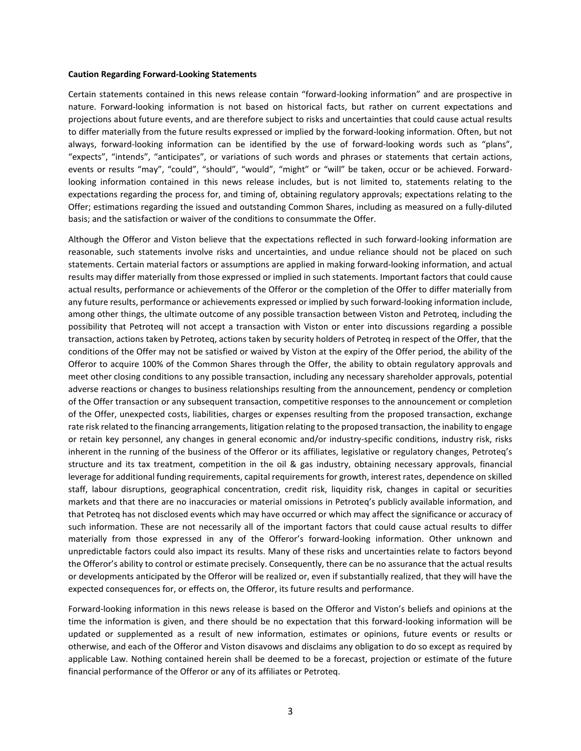#### **Caution Regarding Forward-Looking Statements**

Certain statements contained in this news release contain "forward-looking information" and are prospective in nature. Forward-looking information is not based on historical facts, but rather on current expectations and projections about future events, and are therefore subject to risks and uncertainties that could cause actual results to differ materially from the future results expressed or implied by the forward-looking information. Often, but not always, forward-looking information can be identified by the use of forward-looking words such as "plans", "expects", "intends", "anticipates", or variations of such words and phrases or statements that certain actions, events or results "may", "could", "should", "would", "might" or "will" be taken, occur or be achieved. Forwardlooking information contained in this news release includes, but is not limited to, statements relating to the expectations regarding the process for, and timing of, obtaining regulatory approvals; expectations relating to the Offer; estimations regarding the issued and outstanding Common Shares, including as measured on a fully-diluted basis; and the satisfaction or waiver of the conditions to consummate the Offer.

Although the Offeror and Viston believe that the expectations reflected in such forward-looking information are reasonable, such statements involve risks and uncertainties, and undue reliance should not be placed on such statements. Certain material factors or assumptions are applied in making forward-looking information, and actual results may differ materially from those expressed or implied in such statements. Important factors that could cause actual results, performance or achievements of the Offeror or the completion of the Offer to differ materially from any future results, performance or achievements expressed or implied by such forward-looking information include, among other things, the ultimate outcome of any possible transaction between Viston and Petroteq, including the possibility that Petroteq will not accept a transaction with Viston or enter into discussions regarding a possible transaction, actions taken by Petroteq, actions taken by security holders of Petroteq in respect of the Offer, that the conditions of the Offer may not be satisfied or waived by Viston at the expiry of the Offer period, the ability of the Offeror to acquire 100% of the Common Shares through the Offer, the ability to obtain regulatory approvals and meet other closing conditions to any possible transaction, including any necessary shareholder approvals, potential adverse reactions or changes to business relationships resulting from the announcement, pendency or completion of the Offer transaction or any subsequent transaction, competitive responses to the announcement or completion of the Offer, unexpected costs, liabilities, charges or expenses resulting from the proposed transaction, exchange rate risk related to the financing arrangements, litigation relating to the proposed transaction, the inability to engage or retain key personnel, any changes in general economic and/or industry-specific conditions, industry risk, risks inherent in the running of the business of the Offeror or its affiliates, legislative or regulatory changes, Petroteq's structure and its tax treatment, competition in the oil & gas industry, obtaining necessary approvals, financial leverage for additional funding requirements, capital requirements for growth, interest rates, dependence on skilled staff, labour disruptions, geographical concentration, credit risk, liquidity risk, changes in capital or securities markets and that there are no inaccuracies or material omissions in Petroteq's publicly available information, and that Petroteq has not disclosed events which may have occurred or which may affect the significance or accuracy of such information. These are not necessarily all of the important factors that could cause actual results to differ materially from those expressed in any of the Offeror's forward-looking information. Other unknown and unpredictable factors could also impact its results. Many of these risks and uncertainties relate to factors beyond the Offeror's ability to control or estimate precisely. Consequently, there can be no assurance that the actual results or developments anticipated by the Offeror will be realized or, even if substantially realized, that they will have the expected consequences for, or effects on, the Offeror, its future results and performance.

Forward-looking information in this news release is based on the Offeror and Viston's beliefs and opinions at the time the information is given, and there should be no expectation that this forward-looking information will be updated or supplemented as a result of new information, estimates or opinions, future events or results or otherwise, and each of the Offeror and Viston disavows and disclaims any obligation to do so except as required by applicable Law. Nothing contained herein shall be deemed to be a forecast, projection or estimate of the future financial performance of the Offeror or any of its affiliates or Petroteq.